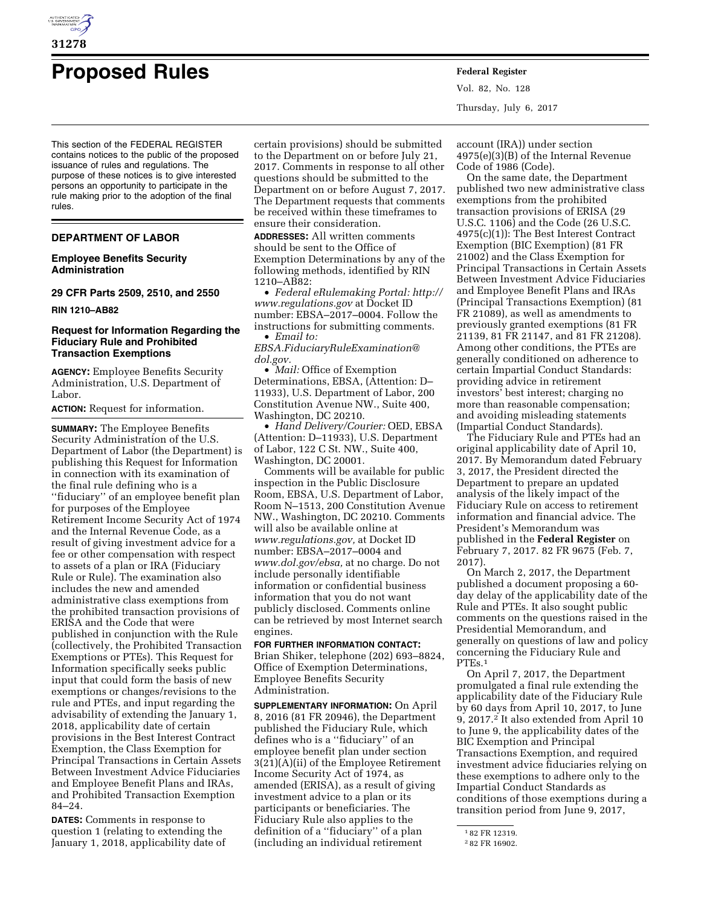

# **Proposed Rules Federal Register**

This section of the FEDERAL REGISTER contains notices to the public of the proposed issuance of rules and regulations. The purpose of these notices is to give interested persons an opportunity to participate in the rule making prior to the adoption of the final rules.

# **DEPARTMENT OF LABOR**

# **Employee Benefits Security Administration**

**29 CFR Parts 2509, 2510, and 2550** 

## **RIN 1210–AB82**

## **Request for Information Regarding the Fiduciary Rule and Prohibited Transaction Exemptions**

**AGENCY:** Employee Benefits Security Administration, U.S. Department of Labor.

**ACTION:** Request for information.

**SUMMARY:** The Employee Benefits Security Administration of the U.S. Department of Labor (the Department) is publishing this Request for Information in connection with its examination of the final rule defining who is a ''fiduciary'' of an employee benefit plan for purposes of the Employee Retirement Income Security Act of 1974 and the Internal Revenue Code, as a result of giving investment advice for a fee or other compensation with respect to assets of a plan or IRA (Fiduciary Rule or Rule). The examination also includes the new and amended administrative class exemptions from the prohibited transaction provisions of ERISA and the Code that were published in conjunction with the Rule (collectively, the Prohibited Transaction Exemptions or PTEs). This Request for Information specifically seeks public input that could form the basis of new exemptions or changes/revisions to the rule and PTEs, and input regarding the advisability of extending the January 1, 2018, applicability date of certain provisions in the Best Interest Contract Exemption, the Class Exemption for Principal Transactions in Certain Assets Between Investment Advice Fiduciaries and Employee Benefit Plans and IRAs, and Prohibited Transaction Exemption 84–24.

**DATES:** Comments in response to question 1 (relating to extending the January 1, 2018, applicability date of

certain provisions) should be submitted to the Department on or before July 21, 2017. Comments in response to all other questions should be submitted to the Department on or before August 7, 2017. The Department requests that comments be received within these timeframes to ensure their consideration.

**ADDRESSES:** All written comments should be sent to the Office of Exemption Determinations by any of the following methods, identified by RIN 1210–AB82:

• *Federal eRulemaking Portal: [http://](http://www.regulations.gov)  [www.regulations.gov](http://www.regulations.gov)* at Docket ID number: EBSA–2017–0004. Follow the instructions for submitting comments. • *Email to:* 

*[EBSA.FiduciaryRuleExamination@](mailto:EBSA.FiduciaryRuleExamination@dol.gov) [dol.gov.](mailto:EBSA.FiduciaryRuleExamination@dol.gov)* 

• *Mail:* Office of Exemption Determinations, EBSA, (Attention: D– 11933), U.S. Department of Labor, 200 Constitution Avenue NW., Suite 400, Washington, DC 20210.

• *Hand Delivery/Courier:* OED, EBSA (Attention: D–11933), U.S. Department of Labor, 122 C St. NW., Suite 400, Washington, DC 20001.

Comments will be available for public inspection in the Public Disclosure Room, EBSA, U.S. Department of Labor, Room N–1513, 200 Constitution Avenue NW., Washington, DC 20210. Comments will also be available online at *[www.regulations.gov,](http://www.regulations.gov)* at Docket ID number: EBSA–2017–0004 and *[www.dol.gov/ebsa,](http://www.dol.gov/ebsa)* at no charge. Do not include personally identifiable information or confidential business information that you do not want publicly disclosed. Comments online can be retrieved by most Internet search engines.

# **FOR FURTHER INFORMATION CONTACT:**  Brian Shiker, telephone (202) 693–8824, Office of Exemption Determinations, Employee Benefits Security Administration.

**SUPPLEMENTARY INFORMATION:** On April 8, 2016 (81 FR 20946), the Department published the Fiduciary Rule, which defines who is a ''fiduciary'' of an employee benefit plan under section 3(21)(A)(ii) of the Employee Retirement Income Security Act of 1974, as amended (ERISA), as a result of giving investment advice to a plan or its participants or beneficiaries. The Fiduciary Rule also applies to the definition of a ''fiduciary'' of a plan (including an individual retirement

Vol. 82, No. 128 Thursday, July 6, 2017

account (IRA)) under section 4975(e)(3)(B) of the Internal Revenue Code of 1986 (Code).

On the same date, the Department published two new administrative class exemptions from the prohibited transaction provisions of ERISA (29 U.S.C. 1106) and the Code (26 U.S.C. 4975(c)(1)): The Best Interest Contract Exemption (BIC Exemption) (81 FR 21002) and the Class Exemption for Principal Transactions in Certain Assets Between Investment Advice Fiduciaries and Employee Benefit Plans and IRAs (Principal Transactions Exemption) (81 FR 21089), as well as amendments to previously granted exemptions (81 FR 21139, 81 FR 21147, and 81 FR 21208). Among other conditions, the PTEs are generally conditioned on adherence to certain Impartial Conduct Standards: providing advice in retirement investors' best interest; charging no more than reasonable compensation; and avoiding misleading statements (Impartial Conduct Standards).

The Fiduciary Rule and PTEs had an original applicability date of April 10, 2017. By Memorandum dated February 3, 2017, the President directed the Department to prepare an updated analysis of the likely impact of the Fiduciary Rule on access to retirement information and financial advice. The President's Memorandum was published in the **Federal Register** on February 7, 2017. 82 FR 9675 (Feb. 7, 2017).

On March 2, 2017, the Department published a document proposing a 60 day delay of the applicability date of the Rule and PTEs. It also sought public comments on the questions raised in the Presidential Memorandum, and generally on questions of law and policy concerning the Fiduciary Rule and PTEs.1

On April 7, 2017, the Department promulgated a final rule extending the applicability date of the Fiduciary Rule by 60 days from April 10, 2017, to June 9, 2017.2 It also extended from April 10 to June 9, the applicability dates of the BIC Exemption and Principal Transactions Exemption, and required investment advice fiduciaries relying on these exemptions to adhere only to the Impartial Conduct Standards as conditions of those exemptions during a transition period from June 9, 2017,

<sup>1</sup> 82 FR 12319.

<sup>2</sup> 82 FR 16902.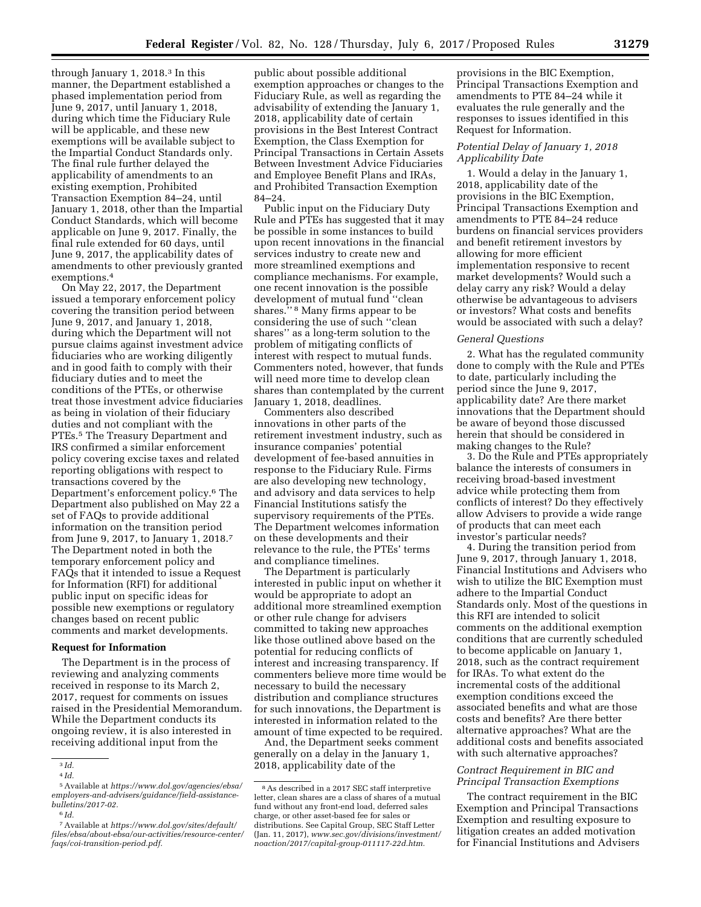through January 1, 2018.3 In this manner, the Department established a phased implementation period from June 9, 2017, until January 1, 2018, during which time the Fiduciary Rule will be applicable, and these new exemptions will be available subject to the Impartial Conduct Standards only. The final rule further delayed the applicability of amendments to an existing exemption, Prohibited Transaction Exemption 84–24, until January 1, 2018, other than the Impartial Conduct Standards, which will become applicable on June 9, 2017. Finally, the final rule extended for 60 days, until June 9, 2017, the applicability dates of amendments to other previously granted exemptions.4

On May 22, 2017, the Department issued a temporary enforcement policy covering the transition period between June 9, 2017, and January 1, 2018, during which the Department will not pursue claims against investment advice fiduciaries who are working diligently and in good faith to comply with their fiduciary duties and to meet the conditions of the PTEs, or otherwise treat those investment advice fiduciaries as being in violation of their fiduciary duties and not compliant with the PTEs.<sup>5</sup> The Treasury Department and IRS confirmed a similar enforcement policy covering excise taxes and related reporting obligations with respect to transactions covered by the Department's enforcement policy.6 The Department also published on May 22 a set of FAQs to provide additional information on the transition period from June 9, 2017, to January 1, 2018.7 The Department noted in both the temporary enforcement policy and FAQs that it intended to issue a Request for Information (RFI) for additional public input on specific ideas for possible new exemptions or regulatory changes based on recent public comments and market developments.

# **Request for Information**

The Department is in the process of reviewing and analyzing comments received in response to its March 2, 2017, request for comments on issues raised in the Presidential Memorandum. While the Department conducts its ongoing review, it is also interested in receiving additional input from the

7Available at *[https://www.dol.gov/sites/default/](https://www.dol.gov/sites/default/files/ebsa/about-ebsa/our-activities/resource-center/faqs/coi-transition-period.pdf)  [files/ebsa/about-ebsa/our-activities/resource-center/](https://www.dol.gov/sites/default/files/ebsa/about-ebsa/our-activities/resource-center/faqs/coi-transition-period.pdf)  [faqs/coi-transition-period.pdf.](https://www.dol.gov/sites/default/files/ebsa/about-ebsa/our-activities/resource-center/faqs/coi-transition-period.pdf)* 

public about possible additional exemption approaches or changes to the Fiduciary Rule, as well as regarding the advisability of extending the January 1, 2018, applicability date of certain provisions in the Best Interest Contract Exemption, the Class Exemption for Principal Transactions in Certain Assets Between Investment Advice Fiduciaries and Employee Benefit Plans and IRAs, and Prohibited Transaction Exemption 84–24.

Public input on the Fiduciary Duty Rule and PTEs has suggested that it may be possible in some instances to build upon recent innovations in the financial services industry to create new and more streamlined exemptions and compliance mechanisms. For example, one recent innovation is the possible development of mutual fund ''clean shares.'' 8 Many firms appear to be considering the use of such ''clean shares'' as a long-term solution to the problem of mitigating conflicts of interest with respect to mutual funds. Commenters noted, however, that funds will need more time to develop clean shares than contemplated by the current January 1, 2018, deadlines.

Commenters also described innovations in other parts of the retirement investment industry, such as insurance companies' potential development of fee-based annuities in response to the Fiduciary Rule. Firms are also developing new technology, and advisory and data services to help Financial Institutions satisfy the supervisory requirements of the PTEs. The Department welcomes information on these developments and their relevance to the rule, the PTEs' terms and compliance timelines.

The Department is particularly interested in public input on whether it would be appropriate to adopt an additional more streamlined exemption or other rule change for advisers committed to taking new approaches like those outlined above based on the potential for reducing conflicts of interest and increasing transparency. If commenters believe more time would be necessary to build the necessary distribution and compliance structures for such innovations, the Department is interested in information related to the amount of time expected to be required.

And, the Department seeks comment generally on a delay in the January 1, 2018, applicability date of the

provisions in the BIC Exemption, Principal Transactions Exemption and amendments to PTE 84–24 while it evaluates the rule generally and the responses to issues identified in this Request for Information.

## *Potential Delay of January 1, 2018 Applicability Date*

1. Would a delay in the January 1, 2018, applicability date of the provisions in the BIC Exemption, Principal Transactions Exemption and amendments to PTE 84–24 reduce burdens on financial services providers and benefit retirement investors by allowing for more efficient implementation responsive to recent market developments? Would such a delay carry any risk? Would a delay otherwise be advantageous to advisers or investors? What costs and benefits would be associated with such a delay?

## *General Questions*

2. What has the regulated community done to comply with the Rule and PTEs to date, particularly including the period since the June 9, 2017, applicability date? Are there market innovations that the Department should be aware of beyond those discussed herein that should be considered in making changes to the Rule?

3. Do the Rule and PTEs appropriately balance the interests of consumers in receiving broad-based investment advice while protecting them from conflicts of interest? Do they effectively allow Advisers to provide a wide range of products that can meet each investor's particular needs?

4. During the transition period from June 9, 2017, through January 1, 2018, Financial Institutions and Advisers who wish to utilize the BIC Exemption must adhere to the Impartial Conduct Standards only. Most of the questions in this RFI are intended to solicit comments on the additional exemption conditions that are currently scheduled to become applicable on January 1, 2018, such as the contract requirement for IRAs. To what extent do the incremental costs of the additional exemption conditions exceed the associated benefits and what are those costs and benefits? Are there better alternative approaches? What are the additional costs and benefits associated with such alternative approaches?

## *Contract Requirement in BIC and Principal Transaction Exemptions*

The contract requirement in the BIC Exemption and Principal Transactions Exemption and resulting exposure to litigation creates an added motivation for Financial Institutions and Advisers

<sup>3</sup> *Id.* 

<sup>4</sup> *Id.* 

<sup>5</sup>Available at *[https://www.dol.gov/agencies/ebsa/](https://www.dol.gov/agencies/ebsa/employers-and-advisers/guidance/field-assistance-bulletins/2017-02)  [employers-and-advisers/guidance/field-assistance](https://www.dol.gov/agencies/ebsa/employers-and-advisers/guidance/field-assistance-bulletins/2017-02)[bulletins/2017-02.](https://www.dol.gov/agencies/ebsa/employers-and-advisers/guidance/field-assistance-bulletins/2017-02)* 

<sup>6</sup> *Id.* 

<sup>8</sup>As described in a 2017 SEC staff interpretive letter, clean shares are a class of shares of a mutual fund without any front-end load, deferred sales charge, or other asset-based fee for sales or distributions. See Capital Group, SEC Staff Letter (Jan. 11, 2017), *[www.sec.gov/divisions/investment/](http://www.sec.gov/divisions/investment/noaction/2017/capital-group-011117-22d.htm) [noaction/2017/capital-group-011117-22d.htm.](http://www.sec.gov/divisions/investment/noaction/2017/capital-group-011117-22d.htm)*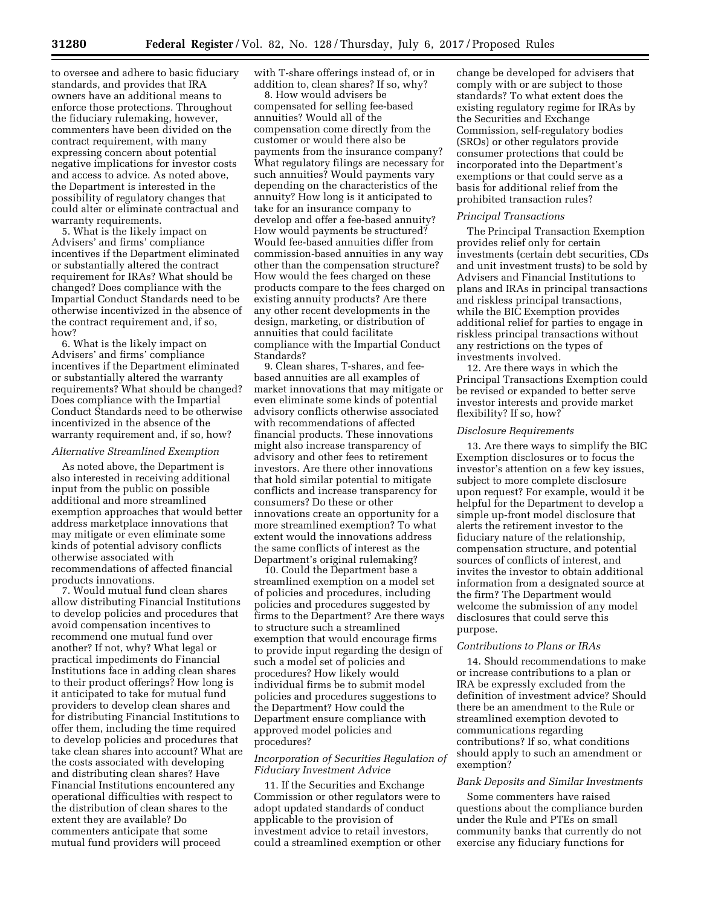to oversee and adhere to basic fiduciary standards, and provides that IRA owners have an additional means to enforce those protections. Throughout the fiduciary rulemaking, however, commenters have been divided on the contract requirement, with many expressing concern about potential negative implications for investor costs and access to advice. As noted above, the Department is interested in the possibility of regulatory changes that could alter or eliminate contractual and warranty requirements.

5. What is the likely impact on Advisers' and firms' compliance incentives if the Department eliminated or substantially altered the contract requirement for IRAs? What should be changed? Does compliance with the Impartial Conduct Standards need to be otherwise incentivized in the absence of the contract requirement and, if so, how?

6. What is the likely impact on Advisers' and firms' compliance incentives if the Department eliminated or substantially altered the warranty requirements? What should be changed? Does compliance with the Impartial Conduct Standards need to be otherwise incentivized in the absence of the warranty requirement and, if so, how?

## *Alternative Streamlined Exemption*

As noted above, the Department is also interested in receiving additional input from the public on possible additional and more streamlined exemption approaches that would better address marketplace innovations that may mitigate or even eliminate some kinds of potential advisory conflicts otherwise associated with recommendations of affected financial products innovations.

7. Would mutual fund clean shares allow distributing Financial Institutions to develop policies and procedures that avoid compensation incentives to recommend one mutual fund over another? If not, why? What legal or practical impediments do Financial Institutions face in adding clean shares to their product offerings? How long is it anticipated to take for mutual fund providers to develop clean shares and for distributing Financial Institutions to offer them, including the time required to develop policies and procedures that take clean shares into account? What are the costs associated with developing and distributing clean shares? Have Financial Institutions encountered any operational difficulties with respect to the distribution of clean shares to the extent they are available? Do commenters anticipate that some mutual fund providers will proceed

with T-share offerings instead of, or in addition to, clean shares? If so, why?

8. How would advisers be compensated for selling fee-based annuities? Would all of the compensation come directly from the customer or would there also be payments from the insurance company? What regulatory filings are necessary for such annuities? Would payments vary depending on the characteristics of the annuity? How long is it anticipated to take for an insurance company to develop and offer a fee-based annuity? How would payments be structured? Would fee-based annuities differ from commission-based annuities in any way other than the compensation structure? How would the fees charged on these products compare to the fees charged on existing annuity products? Are there any other recent developments in the design, marketing, or distribution of annuities that could facilitate compliance with the Impartial Conduct Standards?

9. Clean shares, T-shares, and feebased annuities are all examples of market innovations that may mitigate or even eliminate some kinds of potential advisory conflicts otherwise associated with recommendations of affected financial products. These innovations might also increase transparency of advisory and other fees to retirement investors. Are there other innovations that hold similar potential to mitigate conflicts and increase transparency for consumers? Do these or other innovations create an opportunity for a more streamlined exemption? To what extent would the innovations address the same conflicts of interest as the Department's original rulemaking?

10. Could the Department base a streamlined exemption on a model set of policies and procedures, including policies and procedures suggested by firms to the Department? Are there ways to structure such a streamlined exemption that would encourage firms to provide input regarding the design of such a model set of policies and procedures? How likely would individual firms be to submit model policies and procedures suggestions to the Department? How could the Department ensure compliance with approved model policies and procedures?

## *Incorporation of Securities Regulation of Fiduciary Investment Advice*

11. If the Securities and Exchange Commission or other regulators were to adopt updated standards of conduct applicable to the provision of investment advice to retail investors, could a streamlined exemption or other change be developed for advisers that comply with or are subject to those standards? To what extent does the existing regulatory regime for IRAs by the Securities and Exchange Commission, self-regulatory bodies (SROs) or other regulators provide consumer protections that could be incorporated into the Department's exemptions or that could serve as a basis for additional relief from the prohibited transaction rules?

#### *Principal Transactions*

The Principal Transaction Exemption provides relief only for certain investments (certain debt securities, CDs and unit investment trusts) to be sold by Advisers and Financial Institutions to plans and IRAs in principal transactions and riskless principal transactions, while the BIC Exemption provides additional relief for parties to engage in riskless principal transactions without any restrictions on the types of investments involved.

12. Are there ways in which the Principal Transactions Exemption could be revised or expanded to better serve investor interests and provide market flexibility? If so, how?

#### *Disclosure Requirements*

13. Are there ways to simplify the BIC Exemption disclosures or to focus the investor's attention on a few key issues, subject to more complete disclosure upon request? For example, would it be helpful for the Department to develop a simple up-front model disclosure that alerts the retirement investor to the fiduciary nature of the relationship, compensation structure, and potential sources of conflicts of interest, and invites the investor to obtain additional information from a designated source at the firm? The Department would welcome the submission of any model disclosures that could serve this purpose.

## *Contributions to Plans or IRAs*

14. Should recommendations to make or increase contributions to a plan or IRA be expressly excluded from the definition of investment advice? Should there be an amendment to the Rule or streamlined exemption devoted to communications regarding contributions? If so, what conditions should apply to such an amendment or exemption?

#### *Bank Deposits and Similar Investments*

Some commenters have raised questions about the compliance burden under the Rule and PTEs on small community banks that currently do not exercise any fiduciary functions for